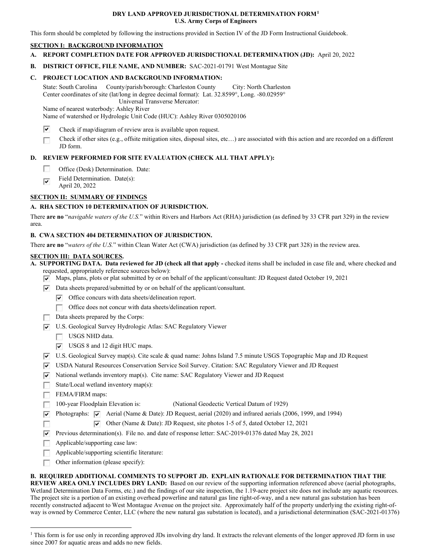#### **DRY LAND APPROVED JURISDICTIONAL DETERMINATION FORM[1](#page-0-0)  U.S. Army Corps of Engineers**

This form should be completed by following the instructions provided in Section IV of the JD Form Instructional Guidebook.

### **SECTION I: BACKGROUND INFORMATION**

 **A. REPORT COMPLETION DATE FOR APPROVED JURISDICTIONAL DETERMINATION (JD):** April 20, 2022

 **B. DISTRICT OFFICE, FILE NAME, AND NUMBER:** SAC-2021-01791 West Montague Site

## **C. PROJECT LOCATION AND BACKGROUND INFORMATION:**

 State: South Carolina County/parish/borough: Charleston County City: North Charleston Center coordinates of site (lat/long in degree decimal format): Lat. 32.8599°, Long. -80.02959°

Universal Transverse Mercator: Name of nearest waterbody: Ashley River

Name of watershed or Hydrologic Unit Code (HUC): Ashley River 0305020106

- $\overline{\mathbf{v}}$ Check if map/diagram of review area is available upon request.
- □ Check if other sites (e.g., offsite mitigation sites, disposal sites, etc…) are associated with this action and are recorded on a different JD form.

## **D. REVIEW PERFORMED FOR SITE EVALUATION (CHECK ALL THAT APPLY):**

- □ Office (Desk) Determination. Date:
- Field Determination. Date(s): ज
- April 20, 2022

# **SECTION II: SUMMARY OF FINDINGS**

# **A. RHA SECTION 10 DETERMINATION OF JURISDICTION.**

 There **are no** "*navigable waters of the U.S.*" within Rivers and Harbors Act (RHA) jurisdiction (as defined by 33 CFR part 329) in the review area.

### **B. CWA SECTION 404 DETERMINATION OF JURISDICTION.**

There **are no** "*waters of the U.S.*" within Clean Water Act (CWA) jurisdiction (as defined by 33 CFR part 328) in the review area.

### **SECTION III: DATA SOURCES.**

 requested, appropriately reference sources below): **A. SUPPORTING DATA. Data reviewed for JD (check all that apply -** checked items shall be included in case file and, where checked and

- $\nabla$  Maps, plans, plots or plat submitted by or on behalf of the applicant/consultant: JD Request dated October 19, 2021
- $\nabla$  Data sheets prepared/submitted by or on behalf of the applicant/consultant.
	- $\triangledown$  Office concurs with data sheets/delineation report.
		- □ Office does not concur with data sheets/delineation report.
- □ Data sheets prepared by the Corps:
- $\nabla$  U.S. Geological Survey Hydrologic Atlas: SAC Regulatory Viewer
	- □ USGS NHD data.
	- $\triangledown$  USGS 8 and 12 digit HUC maps.
- RJ U.S. Geological Survey map(s). Cite scale & quad name: Johns Island 7.5 minute USGS Topographic Map and JD Request
- ▼ USDA Natural Resources Conservation Service Soil Survey. Citation: SAC Regulatory Viewer and JD Request
- $\nabla$  National wetlands inventory map(s). Cite name: SAC Regulatory Viewer and JD Request
- □ State/Local wetland inventory map(s):
- FEMA/FIRM maps:
- □ FEMA/FIRM maps:<br>□ 100-year Floodplain Elevation is: □ (National Geodectic Vertical Datum of 1929)
- $\nabla$  Photographs:  $\nabla$  Aerial (Name & Date): JD Request, aerial (2020) and infrared aerials (2006, 1999, and 1994)
	- $\triangledown$  Other (Name & Date): JD Request, site photos 1-5 of 5, dated October 12, 2021
- □ RJ Previous determination(s). File no. and date of response letter: SAC-2019-01376 dated May 28, 2021
- □ Applicable/supporting case law:
- Applicable/supporting scientific literature:
- □ Other information (please specify):

#### **B. REQUIRED ADDITIONAL COMMENTS TO SUPPORT JD. EXPLAIN RATIONALE FOR DETERMINATION THAT THE**

 **REVIEW AREA ONLY INCLUDES DRY LAND:** Based on our review of the supporting information referenced above (aerial photographs, Wetland Determination Data Forms, etc.) and the findings of our site inspection, the 1.19-acre project site does not include any aquatic resources. recently constructed adjacent to West Montague Avenue on the project site. Approximately half of the property underlying the existing right-of-The project site is a portion of an existing overhead powerline and natural gas line right-of-way, and a new natural gas substation has been way is owned by Commerce Center, LLC (where the new natural gas substation is located), and a jurisdictional determination (SAC-2021-01376)

<span id="page-0-0"></span><sup>&</sup>lt;sup>1</sup> This form is for use only in recording approved JDs involving dry land. It extracts the relevant elements of the longer approved JD form in use since 2007 for aquatic areas and adds no new fields.